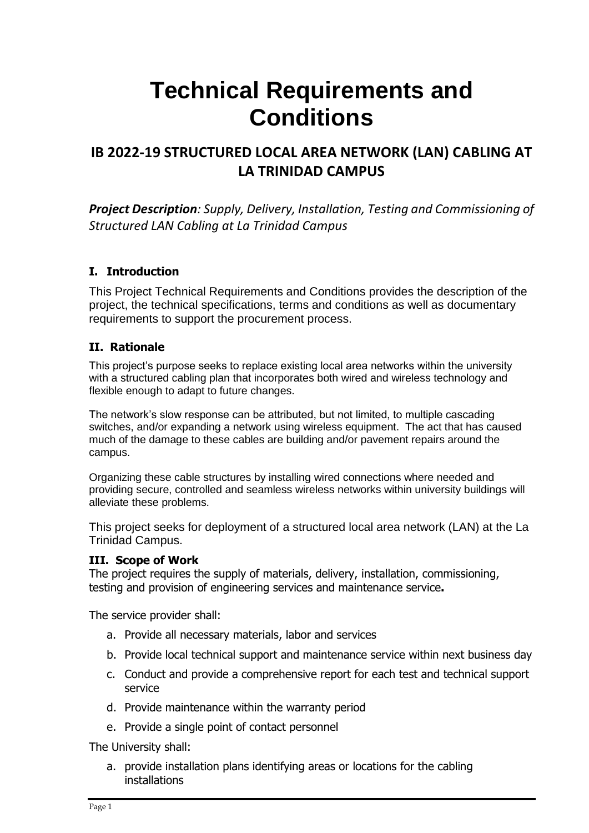# **Technical Requirements and Conditions**

# **IB 2022-19 STRUCTURED LOCAL AREA NETWORK (LAN) CABLING AT LA TRINIDAD CAMPUS**

*Project Description: Supply, Delivery, Installation, Testing and Commissioning of Structured LAN Cabling at La Trinidad Campus*

#### **I. Introduction**

This Project Technical Requirements and Conditions provides the description of the project, the technical specifications, terms and conditions as well as documentary requirements to support the procurement process.

## **II. Rationale**

This project's purpose seeks to replace existing local area networks within the university with a structured cabling plan that incorporates both wired and wireless technology and flexible enough to adapt to future changes.

The network's slow response can be attributed, but not limited, to multiple cascading switches, and/or expanding a network using wireless equipment. The act that has caused much of the damage to these cables are building and/or pavement repairs around the campus.

Organizing these cable structures by installing wired connections where needed and providing secure, controlled and seamless wireless networks within university buildings will alleviate these problems.

This project seeks for deployment of a structured local area network (LAN) at the La Trinidad Campus.

#### **III. Scope of Work**

The project requires the supply of materials, delivery, installation, commissioning, testing and provision of engineering services and maintenance service**.**

The service provider shall:

- a. Provide all necessary materials, labor and services
- b. Provide local technical support and maintenance service within next business day
- c. Conduct and provide a comprehensive report for each test and technical support service
- d. Provide maintenance within the warranty period
- e. Provide a single point of contact personnel

The University shall:

a. provide installation plans identifying areas or locations for the cabling installations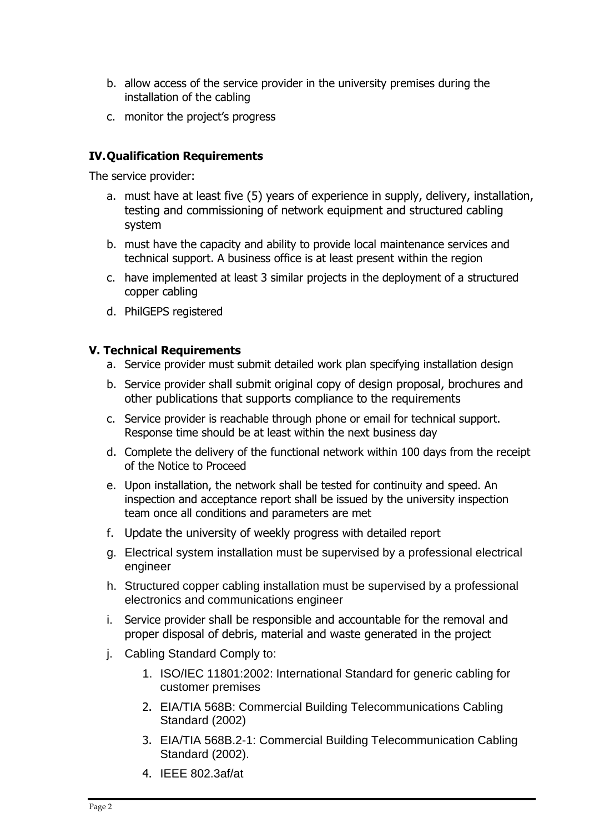- b. allow access of the service provider in the university premises during the installation of the cabling
- c. monitor the project's progress

### **IV.Qualification Requirements**

The service provider:

- a. must have at least five (5) years of experience in supply, delivery, installation, testing and commissioning of network equipment and structured cabling system
- b. must have the capacity and ability to provide local maintenance services and technical support. A business office is at least present within the region
- c. have implemented at least 3 similar projects in the deployment of a structured copper cabling
- d. PhilGEPS registered

#### **V. Technical Requirements**

- a. Service provider must submit detailed work plan specifying installation design
- b. Service provider shall submit original copy of design proposal, brochures and other publications that supports compliance to the requirements
- c. Service provider is reachable through phone or email for technical support. Response time should be at least within the next business day
- d. Complete the delivery of the functional network within 100 days from the receipt of the Notice to Proceed
- e. Upon installation, the network shall be tested for continuity and speed. An inspection and acceptance report shall be issued by the university inspection team once all conditions and parameters are met
- f. Update the university of weekly progress with detailed report
- g. Electrical system installation must be supervised by a professional electrical engineer
- h. Structured copper cabling installation must be supervised by a professional electronics and communications engineer
- i. Service provider shall be responsible and accountable for the removal and proper disposal of debris, material and waste generated in the project
- j. Cabling Standard Comply to:
	- 1. ISO/IEC 11801:2002: International Standard for generic cabling for customer premises
	- 2. EIA/TIA 568B: Commercial Building Telecommunications Cabling Standard (2002)
	- 3. EIA/TIA 568B.2-1: Commercial Building Telecommunication Cabling Standard (2002).
	- 4. IEEE 802.3af/at